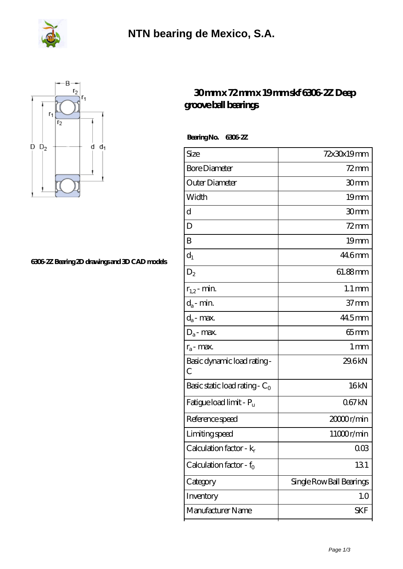



## **[6306-2Z Bearing 2D drawings and 3D CAD models](https://m.fergusonheatncool.com/pic-64966493.html)**

## **[30 mm x 72 mm x 19 mm skf 6306-2Z Deep](https://m.fergusonheatncool.com/bb-64966493-skf-6306-2z-deep-groove-ball-bearings.html) [groove ball bearings](https://m.fergusonheatncool.com/bb-64966493-skf-6306-2z-deep-groove-ball-bearings.html)**

 **Bearing No. 6306-2Z**

| Size                                        | 72x30x19mm               |
|---------------------------------------------|--------------------------|
| <b>Bore Diameter</b>                        | $72$ mm                  |
| Outer Diameter                              | 30mm                     |
| Width                                       | 19mm                     |
| d                                           | 30mm                     |
| D                                           | $72$ mm                  |
| B                                           | 19 <sub>mm</sub>         |
| $d_1$                                       | 44.6mm                   |
| $D_2$                                       | 61.88mm                  |
| $r_{1,2}$ - min.                            | $1.1 \,\mathrm{mm}$      |
| $d_a$ - min.                                | $37 \text{mm}$           |
| $d_a$ - max.                                | 44.5mm                   |
| $D_a$ - max.                                | $65 \text{mm}$           |
| $r_a$ - max.                                | $1 \,\mathrm{mm}$        |
| Basic dynamic load rating-<br>$\mathcal{C}$ | 29.6kN                   |
| Basic static load rating - $C_0$            | 16kN                     |
| Fatigue load limit - Pu                     | 067kN                    |
| Reference speed                             | 2000r/min                |
| Limiting speed                              | 11000r/min               |
| Calculation factor - k <sub>r</sub>         | 003                      |
| Calculation factor - $f_0$                  | 131                      |
| Category                                    | Single Row Ball Bearings |
| Inventory                                   | 1.0                      |
| Manufacturer Name                           | SKF                      |
|                                             |                          |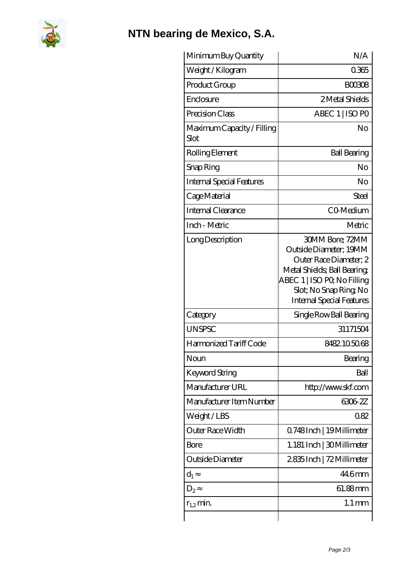

## **[NTN bearing de Mexico, S.A.](https://m.fergusonheatncool.com)**

| Minimum Buy Quantity               | N/A                                                                                                                                                                                                   |
|------------------------------------|-------------------------------------------------------------------------------------------------------------------------------------------------------------------------------------------------------|
| Weight / Kilogram                  | 0365                                                                                                                                                                                                  |
| Product Group                      | <b>BOO308</b>                                                                                                                                                                                         |
| Enclosure                          | 2 Metal Shields                                                                                                                                                                                       |
| Precision Class                    | ABEC 1   ISO PO                                                                                                                                                                                       |
| Maximum Capacity / Filling<br>Slot | No                                                                                                                                                                                                    |
| Rolling Element                    | <b>Ball Bearing</b>                                                                                                                                                                                   |
| Snap Ring                          | No                                                                                                                                                                                                    |
| Internal Special Features          | No                                                                                                                                                                                                    |
| Cage Material                      | Steel                                                                                                                                                                                                 |
| Internal Clearance                 | CO-Medium                                                                                                                                                                                             |
| Inch - Metric                      | Metric                                                                                                                                                                                                |
| Long Description                   | <b>30MM Bore: 72MM</b><br>Outside Diameter; 19MM<br>Outer Race Diameter; 2<br>Metal Shields; Ball Bearing;<br>ABEC 1   ISO PQ No Filling<br>Slot; No Snap Ring No<br><b>Internal Special Features</b> |
| Category                           | Single Row Ball Bearing                                                                                                                                                                               |
| <b>UNSPSC</b>                      | 31171504                                                                                                                                                                                              |
| Harmonized Tariff Code             | 8482105068                                                                                                                                                                                            |
| Noun                               | Bearing                                                                                                                                                                                               |
| <b>Keyword String</b>              | Ball                                                                                                                                                                                                  |
| Manufacturer URL                   | http://www.skf.com                                                                                                                                                                                    |
| Manufacturer Item Number           | 6306-2Z                                                                                                                                                                                               |
| Weight/LBS                         | 082                                                                                                                                                                                                   |
| Outer Race Width                   | Q748Inch   19Millimeter                                                                                                                                                                               |
| Bore                               | 1.181 Inch   30 Millimeter                                                                                                                                                                            |
| Outside Diameter                   | 2835Inch   72 Millimeter                                                                                                                                                                              |
| $d_1$                              | 44.6mm                                                                                                                                                                                                |
| $D_2$                              | 61.88mm                                                                                                                                                                                               |
| $r_{1,2}$ min.                     | $1.1 \,\mathrm{mm}$                                                                                                                                                                                   |
|                                    |                                                                                                                                                                                                       |